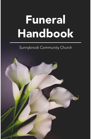# Funeral Handbook

#### Sunnybrook Community Church

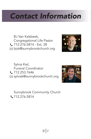## *Contact Information*

BJ Van Kalsbeek, Congregational Life Pastor 712.276.5814 - Ext. 28 bjvk@sunnybrookchurch.org



Sylvia Kiel, Funeral Coordinator **t.** 712.253.7646 sylviak@sunnybrookchurch.org



Sunnybrook Community Church C 712.276.5814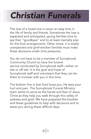## *Christian Funerals*

The loss of a loved one is never an easy time in the life of family and friends. Sometimes the loss is expected and anticipated, giving families time to say their "goodbyes" and to at least mentally plan for the final arrangements. Other times, it is totally unexpected and grief-stricken families must make these decisions under time pressures.

You do not have to be a member of Sunnybrook Community Church to have the funeral service conducted by Sunnybrook staff—either on site or off site. It is the goal and hope of Sunnybrook staff and volunteers that they can be there to minister with you in this time.

The bottom line is that God loves you; He sees your hurt and pain. The Sunnybrook Funeral Ministry team wants to serve as the hands and feet of Jesus Christ as they help you walk through this valley of sadness and grief. We have prepared this booklet and these guidelines to help with decisions and to assist you during these difficult days.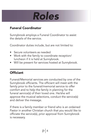

#### Funeral Coordinator

Sunnybrook employs a Funeral Coordinator to assist the details of the service.

Coordinator duties include, but are not limited to:

- Secure volunteers as needed
- Work with the family to coordinate reception/ luncheon if it is held at Sunnybrook.
- Will be present for services hosted at Sunnybrook.

#### **Officiant**

Funeral/Memorial services are conducted by one of the Sunnybrook officiants. The officiant will meet with the family prior to the funeral/memorial service to offer comfort and to help the family in planning for the funeral service(s) of their loved one. He/she will approve the musical selections, conduct the service(s) and deliver the message.

If there is a family member or friend who is an ordained Pastor in another Christian church that you would like to officiate the service(s), prior approval from Sunnybrook is necessary.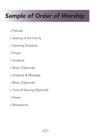## *Sample of Order of Worship*

- » Prelude
- » Seating of the Family
- » Opening Scripture
- » Prayer
- » Scripture
- » Music (Optional)
- » Scripture & Message
- » Music (Optional)
- » Time of Sharing (Optional)
- » Prayer
- » Recessional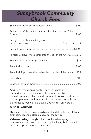#### *Sunnybrook Community Church Fees*

| Sunnybrook Officiant conducting funeral\$200                     |  |
|------------------------------------------------------------------|--|
| Sunnybrook Officiant for services other than the day of the      |  |
| Sunnybrook Officiant mileage for                                 |  |
|                                                                  |  |
| Funeral Coord/services other than the day of the funeral\$50     |  |
|                                                                  |  |
|                                                                  |  |
| Technical Support/services other than the day of the funeral\$50 |  |
|                                                                  |  |
|                                                                  |  |

Additional fees could apply if service is held in the auditorium. Check should be made payable to the funeral home and the funeral home will be responsible for making payment to Sunnybrook. If a funeral home is not being used, fees can be payed directly to Sunnybrook.

#### MISCELLANEOUS

**Flowers:** The family is responsible for the distribution of all floral arrangements and potted plants after the service.

**Video recording:** Sunnybrook allows the video taping of funeral/memorial services if desired by the family but does not have the capacity to offer this service.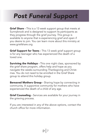### *Post Funeral Support*

**Grief Share -** This is a 13 week support group that meets at Sunnybrook and is designed to support its participants as they progress through the grief journey. This group is available to anyone that is experiencing grief and open if you desire to join. You can learn more about this ministry at www.griefshare.org

Grief Support for Teens - This 13 week grief support group is for any teenager who has experienced the death of a loved one.

**Surviving the Holidays - This one night class, sponsored by** the grief share program, offers help and hope as you navigate the weeks surrounding Thanksgiving and Christmas. You do not need to be enrolled in the Grief Share group to attend this holiday group.

**Bereaved Mothers Group -** Sharing hope by connecting in community. A supportive community for mothers who have experienced the death of a child of any age.

Grief Counseling - Services are available for your journey in the grieving process.

If you are interested in any of the above options, contact the church office for more information.